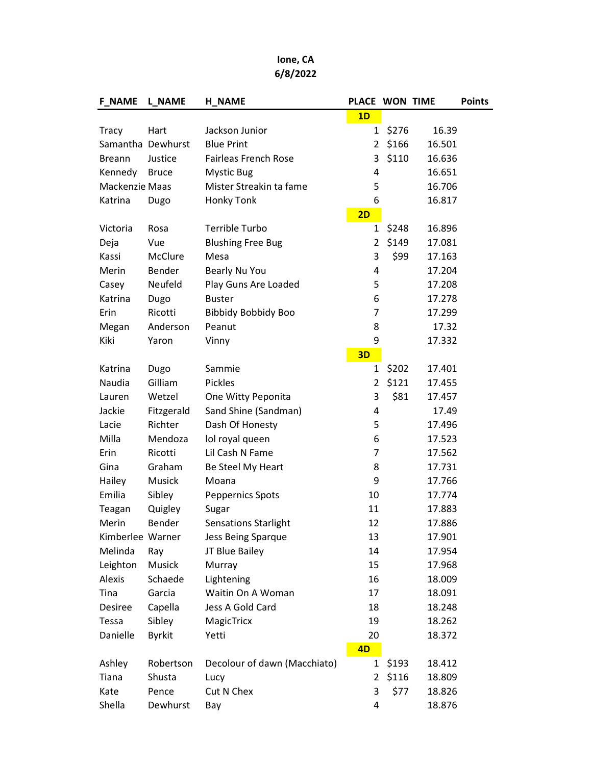## Ione, CA 6/8/2022

| <b>F_NAME</b>     | L NAME        | <b>H_NAME</b>                | PLACE WON TIME |       |        | <b>Points</b> |
|-------------------|---------------|------------------------------|----------------|-------|--------|---------------|
|                   |               |                              | 1D             |       |        |               |
| <b>Tracy</b>      | Hart          | Jackson Junior               | $\mathbf{1}$   | \$276 | 16.39  |               |
| Samantha Dewhurst |               | <b>Blue Print</b>            | 2              | \$166 | 16.501 |               |
| <b>Breann</b>     | Justice       | <b>Fairleas French Rose</b>  | 3              | \$110 | 16.636 |               |
| Kennedy           | <b>Bruce</b>  | <b>Mystic Bug</b>            | 4              |       | 16.651 |               |
| Mackenzie Maas    |               | Mister Streakin ta fame      | 5              |       | 16.706 |               |
| Katrina           | Dugo          | Honky Tonk                   | 6              |       | 16.817 |               |
|                   |               |                              | 2D             |       |        |               |
| Victoria          | Rosa          | <b>Terrible Turbo</b>        | 1              | \$248 | 16.896 |               |
| Deja              | Vue           | <b>Blushing Free Bug</b>     | $\overline{2}$ | \$149 | 17.081 |               |
| Kassi             | McClure       | Mesa                         | 3              | \$99  | 17.163 |               |
| Merin             | Bender        | Bearly Nu You                | 4              |       | 17.204 |               |
| Casey             | Neufeld       | Play Guns Are Loaded         | 5              |       | 17.208 |               |
| Katrina           | Dugo          | <b>Buster</b>                | 6              |       | 17.278 |               |
| Erin              | Ricotti       | <b>Bibbidy Bobbidy Boo</b>   | 7              |       | 17.299 |               |
| Megan             | Anderson      | Peanut                       | 8              |       | 17.32  |               |
| Kiki              | Yaron         | Vinny                        | 9              |       | 17.332 |               |
|                   |               |                              | 3D             |       |        |               |
| Katrina           | Dugo          | Sammie                       | 1              | \$202 | 17.401 |               |
| Naudia            | Gilliam       | <b>Pickles</b>               | $\overline{2}$ | \$121 | 17.455 |               |
| Lauren            | Wetzel        | One Witty Peponita           | 3              | \$81  | 17.457 |               |
| Jackie            | Fitzgerald    | Sand Shine (Sandman)         | 4              |       | 17.49  |               |
| Lacie             | Richter       | Dash Of Honesty              | 5              |       | 17.496 |               |
| Milla             | Mendoza       | lol royal queen              | 6              |       | 17.523 |               |
| Erin              | Ricotti       | Lil Cash N Fame              | $\overline{7}$ |       | 17.562 |               |
| Gina              | Graham        | Be Steel My Heart            | 8              |       | 17.731 |               |
| Hailey            | <b>Musick</b> | Moana                        | 9              |       | 17.766 |               |
| Emilia            | Sibley        | <b>Peppernics Spots</b>      | 10             |       | 17.774 |               |
| Teagan            | Quigley       | Sugar                        | 11             |       | 17.883 |               |
| Merin             | Bender        | <b>Sensations Starlight</b>  | 12             |       | 17.886 |               |
| Kimberlee Warner  |               | Jess Being Sparque           | 13             |       | 17.901 |               |
| Melinda           | Ray           | JT Blue Bailey               | 14             |       | 17.954 |               |
| Leighton          | Musick        | Murray                       | 15             |       | 17.968 |               |
| Alexis            | Schaede       | Lightening                   | 16             |       | 18.009 |               |
| Tina              | Garcia        | Waitin On A Woman            | 17             |       | 18.091 |               |
| <b>Desiree</b>    | Capella       | Jess A Gold Card             | 18             |       | 18.248 |               |
| Tessa             | Sibley        | MagicTricx                   | 19             |       | 18.262 |               |
| Danielle          | <b>Byrkit</b> | Yetti                        | 20             |       | 18.372 |               |
|                   |               |                              | 4D             |       |        |               |
| Ashley            | Robertson     | Decolour of dawn (Macchiato) | $\mathbf{1}$   | \$193 | 18.412 |               |
| Tiana             | Shusta        | Lucy                         | 2              | \$116 | 18.809 |               |
| Kate              | Pence         | Cut N Chex                   | 3              | \$77  | 18.826 |               |
| Shella            | Dewhurst      | Bay                          | 4              |       | 18.876 |               |